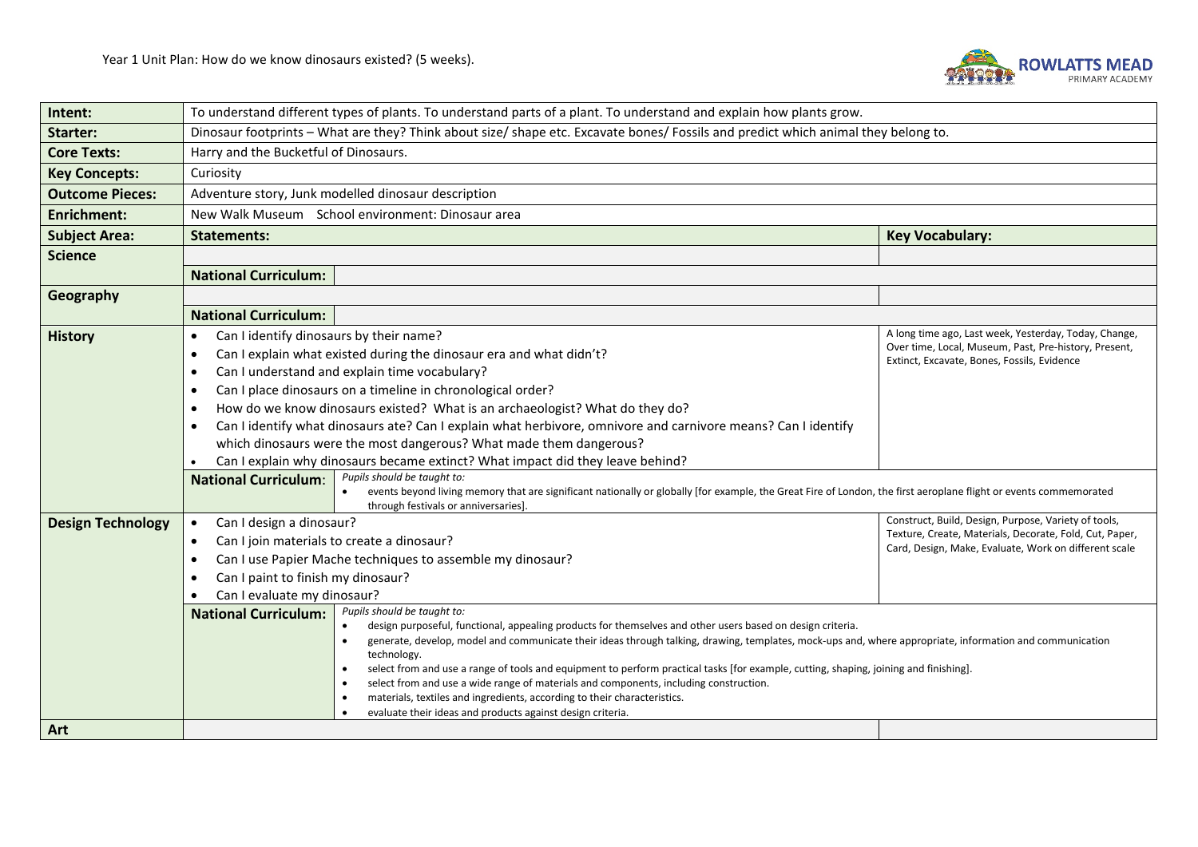

| Intent:                  | To understand different types of plants. To understand parts of a plant. To understand and explain how plants grow.                                                                                       |                                                                                                                  |  |  |  |  |
|--------------------------|-----------------------------------------------------------------------------------------------------------------------------------------------------------------------------------------------------------|------------------------------------------------------------------------------------------------------------------|--|--|--|--|
| Starter:                 | Dinosaur footprints - What are they? Think about size/ shape etc. Excavate bones/ Fossils and predict which animal they belong to.                                                                        |                                                                                                                  |  |  |  |  |
| <b>Core Texts:</b>       | Harry and the Bucketful of Dinosaurs.                                                                                                                                                                     |                                                                                                                  |  |  |  |  |
| <b>Key Concepts:</b>     | Curiosity                                                                                                                                                                                                 |                                                                                                                  |  |  |  |  |
| <b>Outcome Pieces:</b>   | Adventure story, Junk modelled dinosaur description                                                                                                                                                       |                                                                                                                  |  |  |  |  |
| <b>Enrichment:</b>       | New Walk Museum School environment: Dinosaur area                                                                                                                                                         |                                                                                                                  |  |  |  |  |
| <b>Subject Area:</b>     | <b>Statements:</b>                                                                                                                                                                                        | <b>Key Vocabulary:</b>                                                                                           |  |  |  |  |
| <b>Science</b>           |                                                                                                                                                                                                           |                                                                                                                  |  |  |  |  |
|                          | <b>National Curriculum:</b>                                                                                                                                                                               |                                                                                                                  |  |  |  |  |
| Geography                |                                                                                                                                                                                                           |                                                                                                                  |  |  |  |  |
|                          | <b>National Curriculum:</b>                                                                                                                                                                               |                                                                                                                  |  |  |  |  |
| <b>History</b>           | Can I identify dinosaurs by their name?                                                                                                                                                                   | A long time ago, Last week, Yesterday, Today, Change,                                                            |  |  |  |  |
|                          | Can I explain what existed during the dinosaur era and what didn't?<br>$\bullet$                                                                                                                          | Over time, Local, Museum, Past, Pre-history, Present,<br>Extinct, Excavate, Bones, Fossils, Evidence             |  |  |  |  |
|                          | Can I understand and explain time vocabulary?<br>$\bullet$                                                                                                                                                |                                                                                                                  |  |  |  |  |
|                          | Can I place dinosaurs on a timeline in chronological order?<br>$\bullet$                                                                                                                                  |                                                                                                                  |  |  |  |  |
|                          | How do we know dinosaurs existed? What is an archaeologist? What do they do?<br>$\bullet$                                                                                                                 |                                                                                                                  |  |  |  |  |
|                          | Can I identify what dinosaurs ate? Can I explain what herbivore, omnivore and carnivore means? Can I identify                                                                                             |                                                                                                                  |  |  |  |  |
|                          | which dinosaurs were the most dangerous? What made them dangerous?                                                                                                                                        |                                                                                                                  |  |  |  |  |
|                          | Can I explain why dinosaurs became extinct? What impact did they leave behind?<br>$\bullet$                                                                                                               |                                                                                                                  |  |  |  |  |
|                          | Pupils should be taught to:<br><b>National Curriculum:</b>                                                                                                                                                |                                                                                                                  |  |  |  |  |
|                          | events beyond living memory that are significant nationally or globally [for example, the Great Fire of London, the first aeroplane flight or events commemorated<br>through festivals or anniversaries]. |                                                                                                                  |  |  |  |  |
| <b>Design Technology</b> | Can I design a dinosaur?<br>$\bullet$                                                                                                                                                                     | Construct, Build, Design, Purpose, Variety of tools,                                                             |  |  |  |  |
|                          | Can I join materials to create a dinosaur?<br>$\bullet$                                                                                                                                                   | Texture, Create, Materials, Decorate, Fold, Cut, Paper,<br>Card, Design, Make, Evaluate, Work on different scale |  |  |  |  |
|                          | Can I use Papier Mache techniques to assemble my dinosaur?<br>$\bullet$                                                                                                                                   |                                                                                                                  |  |  |  |  |
|                          | Can I paint to finish my dinosaur?<br>٠                                                                                                                                                                   |                                                                                                                  |  |  |  |  |
|                          | Can I evaluate my dinosaur?                                                                                                                                                                               |                                                                                                                  |  |  |  |  |
|                          | Pupils should be taught to:<br><b>National Curriculum:</b><br>design purposeful, functional, appealing products for themselves and other users based on design criteria.<br>$\bullet$                     |                                                                                                                  |  |  |  |  |
|                          | generate, develop, model and communicate their ideas through talking, drawing, templates, mock-ups and, where appropriate, information and communication<br>$\bullet$                                     |                                                                                                                  |  |  |  |  |
|                          | technology.<br>select from and use a range of tools and equipment to perform practical tasks [for example, cutting, shaping, joining and finishing].                                                      |                                                                                                                  |  |  |  |  |
|                          | select from and use a wide range of materials and components, including construction.<br>$\bullet$                                                                                                        |                                                                                                                  |  |  |  |  |
|                          | materials, textiles and ingredients, according to their characteristics.                                                                                                                                  |                                                                                                                  |  |  |  |  |
|                          | evaluate their ideas and products against design criteria.                                                                                                                                                |                                                                                                                  |  |  |  |  |
| Art                      |                                                                                                                                                                                                           |                                                                                                                  |  |  |  |  |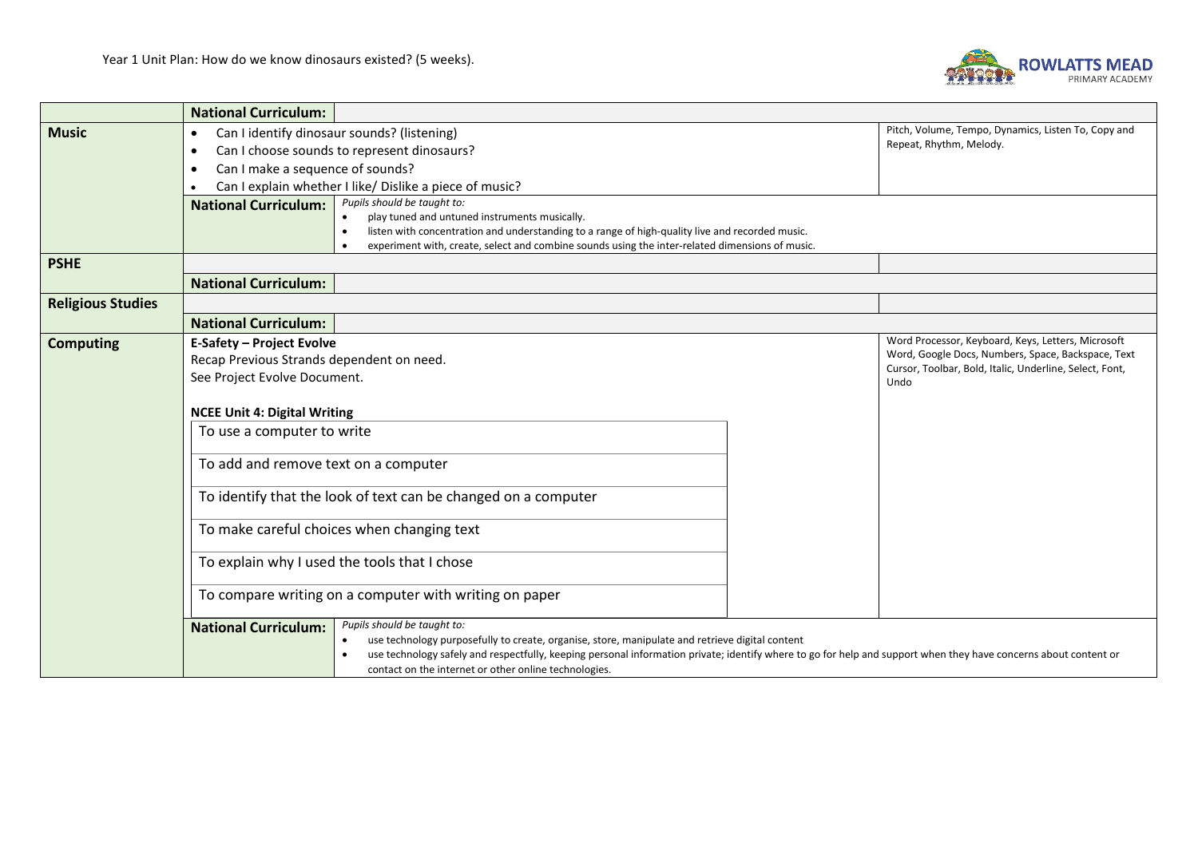

|                          | <b>National Curriculum:</b>                                                                                  |                                                                                                                                                                                                                                                                                                                                                             |  |                                                                                                          |  |  |
|--------------------------|--------------------------------------------------------------------------------------------------------------|-------------------------------------------------------------------------------------------------------------------------------------------------------------------------------------------------------------------------------------------------------------------------------------------------------------------------------------------------------------|--|----------------------------------------------------------------------------------------------------------|--|--|
| <b>Music</b>             | $\bullet$                                                                                                    | Can I identify dinosaur sounds? (listening)                                                                                                                                                                                                                                                                                                                 |  | Pitch, Volume, Tempo, Dynamics, Listen To, Copy and                                                      |  |  |
|                          | Repeat, Rhythm, Melody.<br>Can I choose sounds to represent dinosaurs?<br>$\bullet$                          |                                                                                                                                                                                                                                                                                                                                                             |  |                                                                                                          |  |  |
|                          | Can I make a sequence of sounds?<br>$\bullet$                                                                |                                                                                                                                                                                                                                                                                                                                                             |  |                                                                                                          |  |  |
|                          | Can I explain whether I like/ Dislike a piece of music?<br>$\bullet$                                         |                                                                                                                                                                                                                                                                                                                                                             |  |                                                                                                          |  |  |
|                          | Pupils should be taught to:<br><b>National Curriculum:</b><br>play tuned and untuned instruments musically.  |                                                                                                                                                                                                                                                                                                                                                             |  |                                                                                                          |  |  |
|                          | listen with concentration and understanding to a range of high-quality live and recorded music.<br>$\bullet$ |                                                                                                                                                                                                                                                                                                                                                             |  |                                                                                                          |  |  |
|                          | experiment with, create, select and combine sounds using the inter-related dimensions of music.              |                                                                                                                                                                                                                                                                                                                                                             |  |                                                                                                          |  |  |
| <b>PSHE</b>              |                                                                                                              |                                                                                                                                                                                                                                                                                                                                                             |  |                                                                                                          |  |  |
|                          | <b>National Curriculum:</b>                                                                                  |                                                                                                                                                                                                                                                                                                                                                             |  |                                                                                                          |  |  |
| <b>Religious Studies</b> |                                                                                                              |                                                                                                                                                                                                                                                                                                                                                             |  |                                                                                                          |  |  |
|                          | <b>National Curriculum:</b>                                                                                  |                                                                                                                                                                                                                                                                                                                                                             |  |                                                                                                          |  |  |
| <b>Computing</b>         | <b>E-Safety – Project Evolve</b>                                                                             |                                                                                                                                                                                                                                                                                                                                                             |  | Word Processor, Keyboard, Keys, Letters, Microsoft<br>Word, Google Docs, Numbers, Space, Backspace, Text |  |  |
|                          | Recap Previous Strands dependent on need.                                                                    | Cursor, Toolbar, Bold, Italic, Underline, Select, Font,                                                                                                                                                                                                                                                                                                     |  |                                                                                                          |  |  |
|                          | See Project Evolve Document.<br>Undo                                                                         |                                                                                                                                                                                                                                                                                                                                                             |  |                                                                                                          |  |  |
|                          | <b>NCEE Unit 4: Digital Writing</b><br>To use a computer to write                                            |                                                                                                                                                                                                                                                                                                                                                             |  |                                                                                                          |  |  |
|                          |                                                                                                              |                                                                                                                                                                                                                                                                                                                                                             |  |                                                                                                          |  |  |
|                          | To add and remove text on a computer                                                                         |                                                                                                                                                                                                                                                                                                                                                             |  |                                                                                                          |  |  |
|                          | To identify that the look of text can be changed on a computer<br>To make careful choices when changing text |                                                                                                                                                                                                                                                                                                                                                             |  |                                                                                                          |  |  |
|                          |                                                                                                              |                                                                                                                                                                                                                                                                                                                                                             |  |                                                                                                          |  |  |
|                          | To explain why I used the tools that I chose                                                                 |                                                                                                                                                                                                                                                                                                                                                             |  |                                                                                                          |  |  |
|                          | To compare writing on a computer with writing on paper                                                       |                                                                                                                                                                                                                                                                                                                                                             |  |                                                                                                          |  |  |
|                          | <b>National Curriculum:</b>                                                                                  | Pupils should be taught to:<br>use technology purposefully to create, organise, store, manipulate and retrieve digital content<br>use technology safely and respectfully, keeping personal information private; identify where to go for help and support when they have concerns about content or<br>contact on the internet or other online technologies. |  |                                                                                                          |  |  |